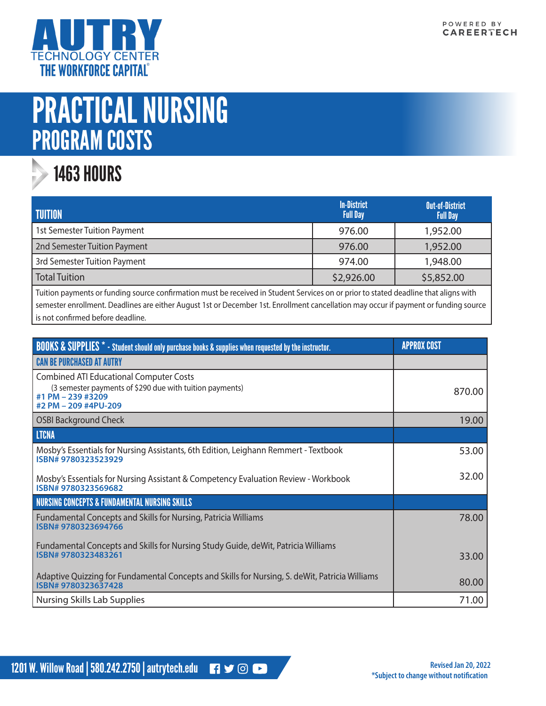

# PRACTICAL NURSING PROGRAM COSTS

#### 1463 HOURS

| <b>TUITION</b>               | <b>In-District</b><br><b>Full Day</b> | <b>Out-of-District</b><br><b>Full Day</b> |
|------------------------------|---------------------------------------|-------------------------------------------|
| 1st Semester Tuition Payment | 976.00                                | 1,952.00                                  |
| 2nd Semester Tuition Payment | 976.00                                | 1,952.00                                  |
| 3rd Semester Tuition Payment | 974.00                                | 1,948.00                                  |
| <b>Total Tuition</b>         | \$2,926.00                            | \$5,852.00                                |

Tuition payments or funding source confirmation must be received in Student Services on or prior to stated deadline that aligns with semester enrollment. Deadlines are either August 1st or December 1st. Enrollment cancellation may occur if payment or funding source is not confirmed before deadline.

| <b>BOOKS &amp; SUPPLIES</b> * - Student should only purchase books & supplies when requested by the instructor.                                         | <b>APPROX COST</b> |
|---------------------------------------------------------------------------------------------------------------------------------------------------------|--------------------|
| <b>CAN BE PURCHASED AT AUTRY</b>                                                                                                                        |                    |
| <b>Combined ATI Educational Computer Costs</b><br>(3 semester payments of \$290 due with tuition payments)<br>#1 PM - 239 #3209<br>#2 PM - 209 #4PU-209 | 870.00             |
| <b>OSBI Background Check</b>                                                                                                                            | 19.00              |
| <b>LTCNA</b>                                                                                                                                            |                    |
| Mosby's Essentials for Nursing Assistants, 6th Edition, Leighann Remmert - Textbook<br>ISBN#9780323523929                                               | 53.00              |
| Mosby's Essentials for Nursing Assistant & Competency Evaluation Review - Workbook<br>ISBN#9780323569682                                                | 32.00              |
| NURSING CONCEPTS & FUNDAMENTAL NURSING SKILLS                                                                                                           |                    |
| Fundamental Concepts and Skills for Nursing, Patricia Williams<br>ISBN#9780323694766                                                                    | 78.00              |
| Fundamental Concepts and Skills for Nursing Study Guide, deWit, Patricia Williams<br>ISBN#9780323483261                                                 | 33.00              |
| Adaptive Quizzing for Fundamental Concepts and Skills for Nursing, S. deWit, Patricia Williams<br>ISBN#9780323637428                                    | 80.00              |
| Nursing Skills Lab Supplies                                                                                                                             | 71.00              |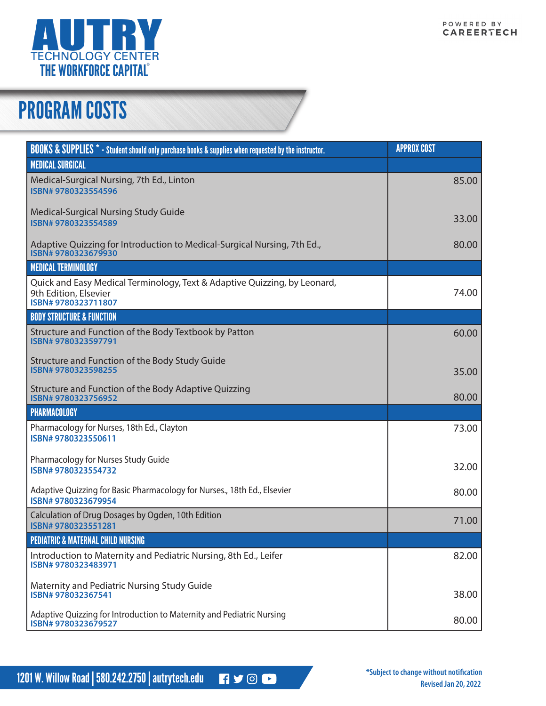

## PROGRAM COSTS

| <b>BOOKS &amp; SUPPLIES</b> * - Student should only purchase books & supplies when requested by the instructor.          | <b>APPROX COST</b> |
|--------------------------------------------------------------------------------------------------------------------------|--------------------|
| <b>MEDICAL SURGICAL</b>                                                                                                  |                    |
| Medical-Surgical Nursing, 7th Ed., Linton<br>ISBN# 9780323554596                                                         | 85.00              |
| Medical-Surgical Nursing Study Guide<br>ISBN# 9780323554589                                                              | 33.00              |
| Adaptive Quizzing for Introduction to Medical-Surgical Nursing, 7th Ed.,<br>ISBN#9780323679930                           | 80.00              |
| <b>MEDICAL TERMINOLOGY</b>                                                                                               |                    |
| Quick and Easy Medical Terminology, Text & Adaptive Quizzing, by Leonard,<br>9th Edition, Elsevier<br>ISBN#9780323711807 | 74.00              |
| <b>BODY STRUCTURE &amp; FUNCTION</b>                                                                                     |                    |
| Structure and Function of the Body Textbook by Patton<br>ISBN# 9780323597791                                             | 60.00              |
| Structure and Function of the Body Study Guide<br>ISBN#9780323598255                                                     | 35.00              |
| Structure and Function of the Body Adaptive Quizzing<br>ISBN# 9780323756952                                              | 80.00              |
| PHARMACOLOGY                                                                                                             |                    |
| Pharmacology for Nurses, 18th Ed., Clayton<br>ISBN#9780323550611                                                         | 73.00              |
| Pharmacology for Nurses Study Guide<br>ISBN#9780323554732                                                                | 32.00              |
| Adaptive Quizzing for Basic Pharmacology for Nurses., 18th Ed., Elsevier<br>ISBN#9780323679954                           | 80.00              |
| Calculation of Drug Dosages by Ogden, 10th Edition<br>ISBN#9780323551281                                                 | 71.00              |
| <b>PEDIATRIC &amp; MATERNAL CHILD NURSING</b>                                                                            |                    |
| Introduction to Maternity and Pediatric Nursing, 8th Ed., Leifer<br>ISBN#9780323483971                                   | 82.00              |
| Maternity and Pediatric Nursing Study Guide<br>ISBN# 978032367541                                                        | 38.00              |
| Adaptive Quizzing for Introduction to Maternity and Pediatric Nursing<br>ISBN# 9780323679527                             | 80.00              |